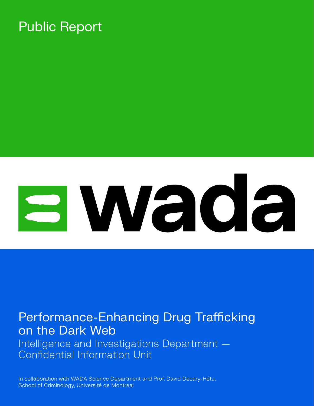### Public Report

# 3 Wada

### Performance-Enhancing Drug Trafficking on the Dark Web

Intelligence and Investigations Department — Confidential Information Unit

In collaboration with WADA Science Department and Prof. David Décary-Hétu, School of Criminology, Université de Montréal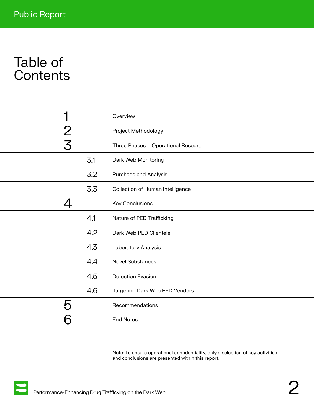| Table of |
|----------|
| Contents |

| ٦             |     | Overview                                                                                                                             |
|---------------|-----|--------------------------------------------------------------------------------------------------------------------------------------|
| $\frac{2}{3}$ |     | Project Methodology                                                                                                                  |
|               |     | Three Phases - Operational Research                                                                                                  |
|               | 3.1 | Dark Web Monitoring                                                                                                                  |
|               | 3.2 | Purchase and Analysis                                                                                                                |
|               | 3.3 | Collection of Human Intelligence                                                                                                     |
| 4             |     | Key Conclusions                                                                                                                      |
|               | 4.1 | Nature of PED Trafficking                                                                                                            |
|               | 4.2 | Dark Web PED Clientele                                                                                                               |
|               | 4.3 | Laboratory Analysis                                                                                                                  |
|               | 4.4 | <b>Novel Substances</b>                                                                                                              |
|               | 4.5 | <b>Detection Evasion</b>                                                                                                             |
|               | 4.6 | Targeting Dark Web PED Vendors                                                                                                       |
| 5             |     | Recommendations                                                                                                                      |
|               |     | <b>End Notes</b>                                                                                                                     |
|               |     | Note: To ensure operational confidentiality, only a selection of key activities<br>and conclusions are presented within this report. |

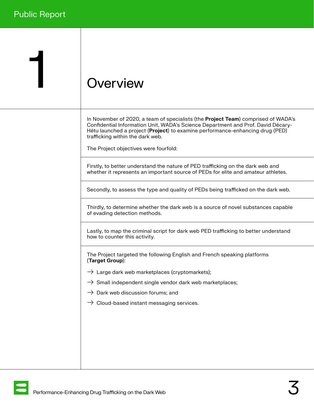## <span id="page-2-0"></span>1 Overview

In November of 2020, a team of specialists (the **Project Team**) comprised of WADA's Confidential Information Unit, WADA's Science Department and Prof. David Décary-Hétu launched a project (**Project**) to examine performance-enhancing drug (PED) trafficking within the dark web.

The Project objectives were fourfold:

Firstly, to better understand the nature of PED trafficking on the dark web and whether it represents an important source of PEDs for elite and amateur athletes.

Secondly, to assess the type and quality of PEDs being trafficked on the dark web.

Thirdly, to determine whether the dark web is a source of novel substances capable of evading detection methods.

Lastly, to map the criminal script for dark web PED trafficking to better understand how to counter this activity.

The Project targeted the following English and French speaking platforms (Target Group):

- $\rightarrow$  Large dark web marketplaces (cryptomarkets);
- $\rightarrow$  Small independent single vendor dark web marketplaces;
- $\rightarrow$  Dark web discussion forums; and
- $\rightarrow$  Cloud-based instant messaging services.

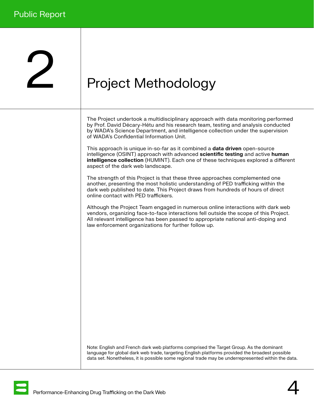## <span id="page-3-0"></span>Project Methodology

The Project undertook a multidisciplinary approach with data monitoring performed by Prof. David Décary-Hétu and his research team, testing and analysis conducted by WADA's Science Department, and intelligence collection under the supervision of WADA's Confidential Information Unit.

This approach is unique in-so-far as it combined a **data driven** open-source intelligence (OSINT) approach with advanced scientific testing and active human intelligence collection (HUMINT). Each one of these techniques explored a different aspect of the dark web landscape.

The strength of this Project is that these three approaches complemented one another, presenting the most holistic understanding of PED trafficking within the dark web published to date. This Project draws from hundreds of hours of direct online contact with PED traffickers.

Although the Project Team engaged in numerous online interactions with dark web vendors, organizing face-to-face interactions fell outside the scope of this Project. All relevant intelligence has been passed to appropriate national anti-doping and law enforcement organizations for further follow up.

Note: English and French dark web platforms comprised the Target Group. As the dominant language for global dark web trade, targeting English platforms provided the broadest possible data set. Nonetheless, it is possible some regional trade may be underrepresented within the data.

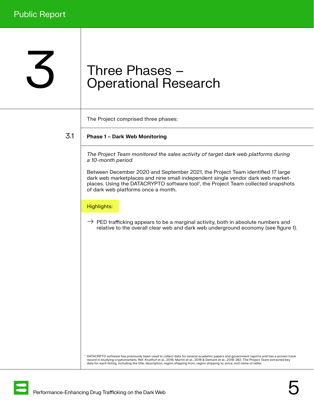## <span id="page-4-0"></span>3 Three Phases –<br>Operational Res Operational Research

The Project comprised three phases:

3.1

#### Phase 1 – Dark Web Monitoring

The Project Team monitored the sales activity of target dark web platforms during a 10-month period.

Between December 2020 and September 2021, the Project Team identified 17 large dark web marketplaces and nine small independent single vendor dark web marketplaces. Using the DATACRYPTO software tool<sup>1</sup>, the Project Team collected snapshots of dark web platforms once a month.

#### Highlights:

 $\rightarrow$  PED trafficking appears to be a marginal activity, both in absolute numbers and relative to the overall clear web and dark web underground economy (see figure 1).

<sup>1</sup> DATACRPTO software has previously been used to collect data for several academic papers and government reports and has a proven track record in studying cryptomarkets. Ref. Kruithof et al., 2016, Martin et al., 2018 & Demant et al., 2018: 262. The Project Team extracted key data for each listing, including the title, description, region shipping from, region shipping to, price, and name of seller.

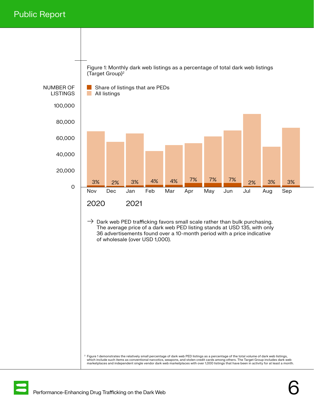#### Public Report



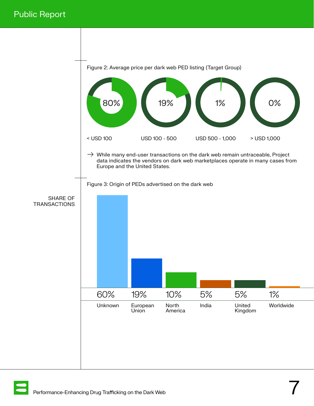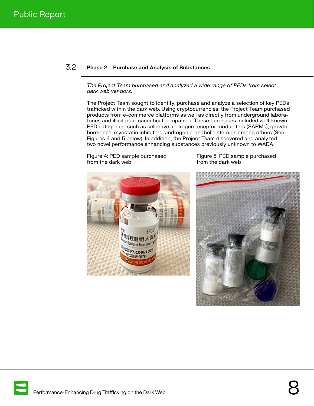#### <span id="page-7-0"></span>3.2

#### Phase 2 – Purchase and Analysis of Substances

The Project Team purchased and analyzed a wide range of PEDs from select dark web vendors.

The Project Team sought to identify, purchase and analyze a selection of key PEDs trafficked within the dark web. Using cryptocurrencies, the Project Team purchased products from e-commerce platforms as well as directly from underground laboratories and illicit pharmaceutical companies. These purchases included well-known PED categories, such as selective androgen receptor modulators (SARMs), growth hormones, myostatin inhibitors, androgenic-anabolic steroids among others (See Figures 4 and 5 below). In addition, the Project Team discovered and analyzed two novel performance enhancing substances previously unknown to WADA.

Figure 4: PED sample purchased Figure 5: PED sample purchased<br>From the dark web from the dark web from the dark web





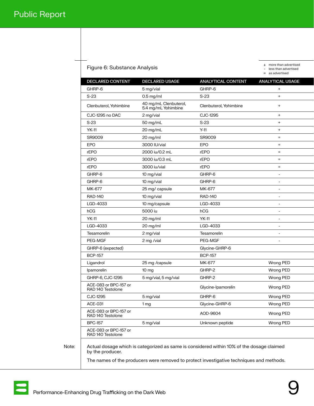| DECLARED CONTENT                           | <b>DECLARED USAGE</b>                        | <b>ANALYTICAL CONTENT</b> | <b>ANALYTICAL USAGE</b>  |
|--------------------------------------------|----------------------------------------------|---------------------------|--------------------------|
| GHRP-6                                     | 5 mg/vial                                    | GHRP-6                    | $\ddot{}$                |
| $S-23$                                     | $0.5$ mg/ml                                  | $S-23$                    | $\ddot{}$                |
| Clenbuterol, Yohimbine                     | 40 mg/mL Clenbuterol,<br>5.4 mg/mL Yohimbine | Clenbuterol, Yohimbine    | $\ddot{}$                |
| CJC-1295 no DAC                            | 2 mg/vial                                    | CJC-1295                  | $\ddot{}$                |
| $S-23$                                     | 50 mg/mL                                     | $S-23$                    | $\ddot{}$                |
| <b>YK-11</b>                               | 20 mg/mL                                     | $Y-11$                    | $\ddot{}$                |
| SR9009                                     | 20 mg/ml                                     | SR9009                    | $\equiv$                 |
| EPO                                        | 3000 IU/vial                                 | EPO                       | $\equiv$                 |
| rEPO                                       | 2000 iu/0.2 mL                               | rEPO                      | $=$                      |
| rEPO                                       | 3000 iu/0.3 mL                               | rEPO                      | $\equiv$                 |
| rEPO                                       | 3000 iu/vial                                 | rEPO                      | $\equiv$                 |
| GHRP-6                                     | 10 mg/vial                                   | GHRP-6                    | $\overline{a}$           |
| GHRP-6                                     | 10 mg/vial                                   | GHRP-6                    | $\overline{a}$           |
| MK-677                                     | 25 mg/ capsule                               | MK-677                    | $\overline{a}$           |
| <b>RAD-140</b>                             | 10 mg/vial                                   | <b>RAD-140</b>            |                          |
| LGD-4033                                   | 10 mg/capsule                                | LGD-4033                  |                          |
| hCG                                        | 5000 iu                                      | hCG                       | $\overline{a}$           |
| <b>YK-11</b>                               | 20 mg/ml                                     | <b>YK-11</b>              | $\overline{\phantom{0}}$ |
| LGD-4033                                   | 20 mg/ml                                     | LGD-4033                  |                          |
| Tesamorelin                                | 2 mg/vial                                    | Tesamorelin               |                          |
| PEG-MGF                                    | 2 mg /vial                                   | PEG-MGF                   |                          |
| GHRP-6 (expected)                          |                                              | Glycine-GHRP-6            |                          |
| <b>BCP-157</b>                             |                                              | <b>BCP-157</b>            |                          |
| Ligandrol                                  | 25 mg /capsule                               | MK-677                    | Wrong PED                |
| Ipamorelin                                 | 10 <sub>mg</sub>                             | GHRP-2                    | Wrong PED                |
| GHRP-6, CJC-1295                           | 5 mg/vial, 5 mg/vial                         | GHRP-2                    | Wrong PED                |
| ACE-083 or BPC-157 or<br>RAD 140 Testolone |                                              | Glycine-Ipamorelin        | Wrong PED                |
| CJC-1295                                   | 5 mg/vial                                    | GHRP-6                    | Wrong PED                |
| <b>ACE-031</b>                             | 1 <sub>mg</sub>                              | Glycine-GHRP-6            | Wrong PED                |
| ACE-083 or BPC-157 or<br>RAD 140 Testolone |                                              | AOD-9604                  | Wrong PED                |
| <b>BPC-157</b>                             | 5 mg/vial                                    | Unknown peptide           | Wrong PED                |
| ACE-083 or BPC-157 or<br>RAD 140 Testolone |                                              |                           |                          |

#### Figure 6: Substance Analysis

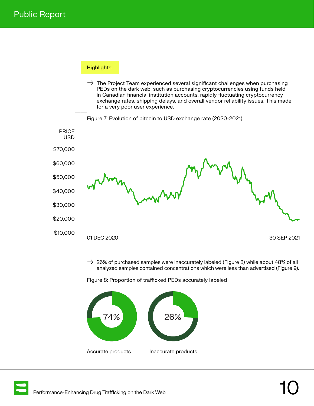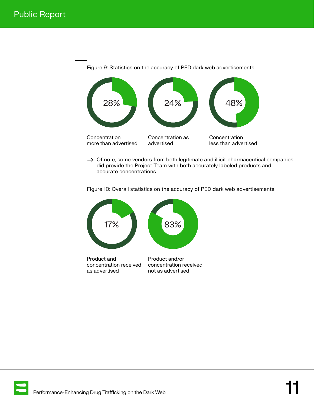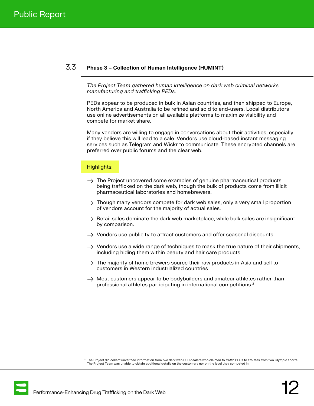#### <span id="page-11-0"></span>3.3

#### Phase 3 – Collection of Human Intelligence (HUMINT)

The Project Team gathered human intelligence on dark web criminal networks manufacturing and trafficking PEDs.

PEDs appear to be produced in bulk in Asian countries, and then shipped to Europe, North America and Australia to be refined and sold to end-users. Local distributors use online advertisements on all available platforms to maximize visibility and compete for market share.

Many vendors are willing to engage in conversations about their activities, especially if they believe this will lead to a sale. Vendors use cloud-based instant messaging services such as Telegram and Wickr to communicate. These encrypted channels are preferred over public forums and the clear web.

#### Highlights:

- $\rightarrow$  The Project uncovered some examples of genuine pharmaceutical products being trafficked on the dark web, though the bulk of products come from illicit pharmaceutical laboratories and homebrewers.
- $\rightarrow$  Though many vendors compete for dark web sales, only a very small proportion of vendors account for the majority of actual sales.
- $\rightarrow$  Retail sales dominate the dark web marketplace, while bulk sales are insignificant by comparison.
- $\rightarrow$  Vendors use publicity to attract customers and offer seasonal discounts.
- $\rightarrow$  Vendors use a wide range of techniques to mask the true nature of their shipments, including hiding them within beauty and hair care products.
- $\rightarrow$  The majority of home brewers source their raw products in Asia and sell to customers in Western industrialized countries
- $\rightarrow$  Most customers appear to be bodybuilders and amateur athletes rather than professional athletes participating in international competitions.3

<sup>3</sup> The Project did collect unverified information from two dark web PED dealers who claimed to traffic PEDs to athletes from two Olympic sports. The Project Team was unable to obtain additional details on the customers nor on the level they competed in.

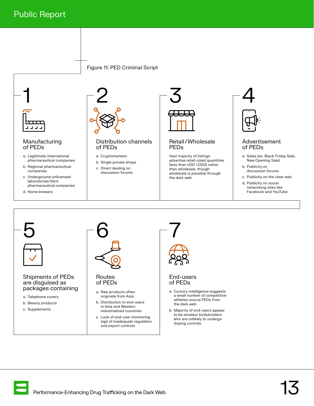



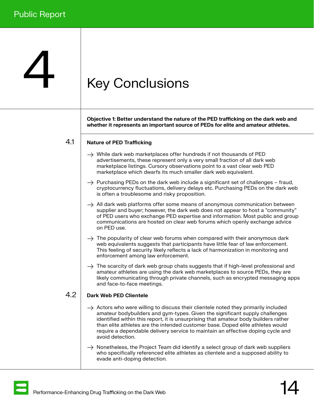## <span id="page-13-0"></span>**Key Conclusions**

Objective 1: Better understand the nature of the PED trafficking on the dark web and whether it represents an important source of PEDs for elite and amateur athletes.

#### Nature of PED Trafficking 4.1

- $\rightarrow$  While dark web marketplaces offer hundreds if not thousands of PED advertisements, these represent only a very small fraction of all dark web marketplace listings. Cursory observations point to a vast clear web PED marketplace which dwarfs its much smaller dark web equivalent.
- $\rightarrow$  Purchasing PEDs on the dark web include a significant set of challenges fraud, cryptocurrency fluctuations, delivery delays etc. Purchasing PEDs on the dark web is often a troublesome and risky proposition.
- $\rightarrow$  All dark web platforms offer some means of anonymous communication between supplier and buyer; however, the dark web does not appear to host a "community" of PED users who exchange PED expertise and information. Most public and group communications are hosted on clear web forums which openly exchange advice on PED use.
- $\rightarrow$  The popularity of clear web forums when compared with their anonymous dark web equivalents suggests that participants have little fear of law enforcement. This feeling of security likely reflects a lack of harmonization in monitoring and enforcement among law enforcement.
- $\rightarrow$  The scarcity of dark web group chats suggests that if high-level professional and amateur athletes are using the dark web marketplaces to source PEDs, they are likely communicating through private channels, such as encrypted messaging apps and face-to-face meetings.

#### Dark Web PED Clientele 4.2

- $\rightarrow$  Actors who were willing to discuss their clientele noted they primarily included amateur bodybuilders and gym-types. Given the significant supply challenges identified within this report, it is unsurprising that amateur body builders rather than elite athletes are the intended customer base. Doped elite athletes would require a dependable delivery service to maintain an effective doping cycle and avoid detection.
- $\rightarrow$  Nonetheless, the Project Team did identify a select group of dark web suppliers who specifically referenced elite athletes as clientele and a supposed ability to evade anti-doping detection.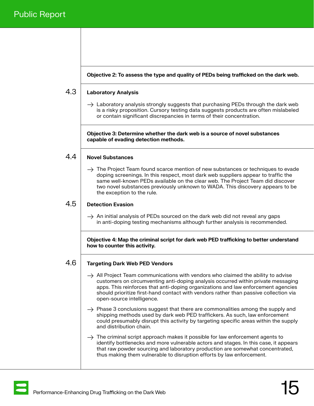Objective 2: To assess the type and quality of PEDs being trafficked on the dark web.

#### <span id="page-14-0"></span>Laboratory Analysis 4.3

 $\rightarrow$  Laboratory analysis strongly suggests that purchasing PEDs through the dark web is a risky proposition. Cursory testing data suggests products are often mislabeled or contain significant discrepancies in terms of their concentration.

Objective 3: Determine whether the dark web is a source of novel substances capable of evading detection methods.

#### Novel Substances 4.4

 $\rightarrow$  The Project Team found scarce mention of new substances or techniques to evade doping screenings. In this respect, most dark web suppliers appear to traffic the same well-known PEDs available on the clear web. The Project Team did discover two novel substances previously unknown to WADA. This discovery appears to be the exception to the rule.

#### Detection Evasion 4.5

 $\rightarrow$  An initial analysis of PEDs sourced on the dark web did not reveal any gaps in anti-doping testing mechanisms although further analysis is recommended.

Objective 4: Map the criminal script for dark web PED trafficking to better understand how to counter this activity.

#### Targeting Dark Web PED Vendors 4.6

- $\rightarrow$  All Project Team communications with vendors who claimed the ability to advise customers on circumventing anti-doping analysis occurred within private messaging apps. This reinforces that anti-doping organizations and law enforcement agencies should prioritize first-hand contact with vendors rather than passive collection via open-source intelligence.
- $\rightarrow$  Phase 3 conclusions suggest that there are commonalities among the supply and shipping methods used by dark web PED traffickers. As such, law enforcement could presumably disrupt this activity by targeting specific areas within the supply and distribution chain.
- $\rightarrow$  The criminal script approach makes it possible for law enforcement agents to identify bottlenecks and more vulnerable actors and stages. In this case, it appears that raw powder sourcing and laboratory production are somewhat concentrated, thus making them vulnerable to disruption efforts by law enforcement.

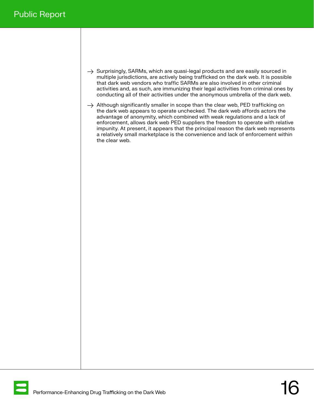- $\rightarrow$  Surprisingly, SARMs, which are quasi-legal products and are easily sourced in multiple jurisdictions, are actively being trafficked on the dark web. It is possible that dark web vendors who traffic SARMs are also involved in other criminal activities and, as such, are immunizing their legal activities from criminal ones by conducting all of their activities under the anonymous umbrella of the dark web.
- $\rightarrow$  Although significantly smaller in scope than the clear web, PED trafficking on the dark web appears to operate unchecked. The dark web affords actors the advantage of anonymity, which combined with weak regulations and a lack of enforcement, allows dark web PED suppliers the freedom to operate with relative impunity. At present, it appears that the principal reason the dark web represents a relatively small marketplace is the convenience and lack of enforcement within the clear web.

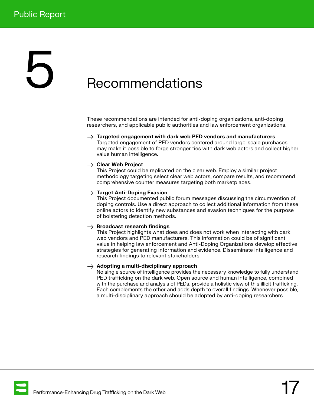## <span id="page-16-0"></span>**b** Recommendations

These recommendations are intended for anti-doping organizations, anti-doping researchers, and applicable public authorities and law enforcement organizations.

 $\rightarrow$  Targeted engagement with dark web PED vendors and manufacturers Targeted engagement of PED vendors centered around large-scale purchases may make it possible to forge stronger ties with dark web actors and collect higher value human intelligence.

#### $\rightarrow$  Clear Web Project

This Project could be replicated on the clear web. Employ a similar project methodology targeting select clear web actors, compare results, and recommend comprehensive counter measures targeting both marketplaces.

#### $\rightarrow$  Target Anti-Doping Evasion

This Project documented public forum messages discussing the circumvention of doping controls. Use a direct approach to collect additional information from these online actors to identify new substances and evasion techniques for the purpose of bolstering detection methods.

#### $\rightarrow$  Broadcast research findings

This Project highlights what does and does not work when interacting with dark web vendors and PED manufacturers. This information could be of significant value in helping law enforcement and Anti-Doping Organizations develop effective strategies for generating information and evidence. Disseminate intelligence and research findings to relevant stakeholders.

#### $\rightarrow$  Adopting a multi-disciplinary approach

No single source of intelligence provides the necessary knowledge to fully understand PED trafficking on the dark web. Open source and human intelligence, combined with the purchase and analysis of PEDs, provide a holistic view of this illicit trafficking. Each complements the other and adds depth to overall findings. Whenever possible, a multi-disciplinary approach should be adopted by anti-doping researchers.

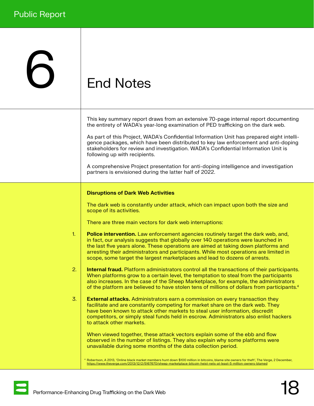## <span id="page-17-0"></span>6 End Notes

| This key summary report draws from an extensive 70-page internal report documenting |  |
|-------------------------------------------------------------------------------------|--|
| the entirety of WADA's year-long examination of PED trafficking on the dark web.    |  |

As part of this Project, WADA's Confidential Information Unit has prepared eight intelligence packages, which have been distributed to key law enforcement and anti-doping stakeholders for review and investigation. WADA's Confidential Information Unit is following up with recipients.

A comprehensive Project presentation for anti-doping intelligence and investigation partners is envisioned during the latter half of 2022.

#### Disruptions of Dark Web Activities

The dark web is constantly under attack, which can impact upon both the size and scope of its activities.

There are three main vectors for dark web interruptions:

- Police intervention. Law enforcement agencies routinely target the dark web, and, in fact, our analysis suggests that globally over 140 operations were launched in the last five years alone. These operations are aimed at taking down platforms and arresting their administrators and participants. While most operations are limited in scope, some target the largest marketplaces and lead to dozens of arrests. 1.
- **Internal fraud.** Platform administrators control all the transactions of their participants. When platforms grow to a certain level, the temptation to steal from the participants also increases. In the case of the Sheep Marketplace, for example, the administrators of the platform are believed to have stolen tens of millions of dollars from participants.<sup>4</sup> 2.
- **External attacks.** Administrators earn a commission on every transaction they facilitate and are constantly competing for market share on the dark web. They have been known to attack other markets to steal user information, discredit competitors, or simply steal funds held in escrow. Administrators also enlist hackers to attack other markets. 3.

When viewed together, these attack vectors explain some of the ebb and flow observed in the number of listings. They also explain why some platforms were unavailable during some months of the data collection period.

Robertson, A 2013, 'Online black market members hunt down \$100 million in bitcoins, blame site owners for theft', The Verge, 2 December, [https://www.theverge.com/2013/12/2/5167670/sheep-marketplace-bitcoin-heist-nets-at-least-5-million-owners-blamed](https://www.theverge.com/2013/12/2/5167670/sheep-marketplace-bitcoin-heist-nets-at-least-5-million-o)